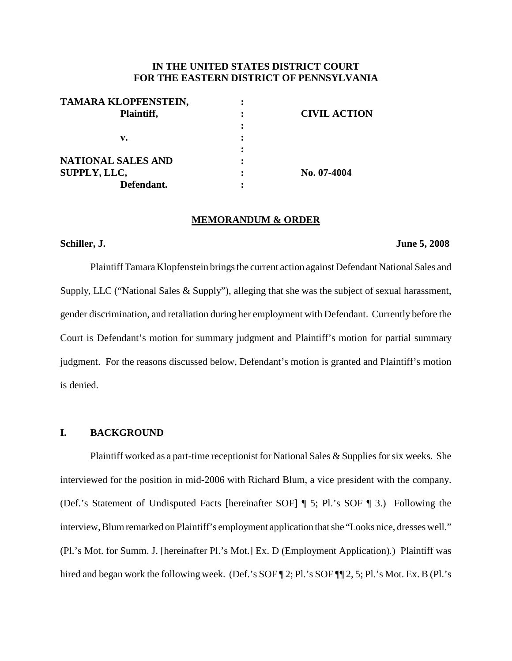# **IN THE UNITED STATES DISTRICT COURT FOR THE EASTERN DISTRICT OF PENNSYLVANIA**

| TAMARA KLOPFENSTEIN,      |                     |
|---------------------------|---------------------|
| Plaintiff,                | <b>CIVIL ACTION</b> |
|                           |                     |
| v.                        |                     |
|                           |                     |
| <b>NATIONAL SALES AND</b> |                     |
| SUPPLY, LLC,              | No. 07-4004         |
| Defendant.                |                     |

### **MEMORANDUM & ORDER**

# **Schiller, J. June 5, 2008**

Plaintiff Tamara Klopfenstein brings the current action against Defendant National Sales and Supply, LLC ("National Sales & Supply"), alleging that she was the subject of sexual harassment, gender discrimination, and retaliation during her employment with Defendant. Currently before the Court is Defendant's motion for summary judgment and Plaintiff's motion for partial summary judgment. For the reasons discussed below, Defendant's motion is granted and Plaintiff's motion is denied.

# **I. BACKGROUND**

Plaintiff worked as a part-time receptionist for National Sales & Supplies for six weeks. She interviewed for the position in mid-2006 with Richard Blum, a vice president with the company. (Def.'s Statement of Undisputed Facts [hereinafter SOF] ¶ 5; Pl.'s SOF ¶ 3.) Following the interview, Blum remarked on Plaintiff's employment application that she "Looks nice, dresses well." (Pl.'s Mot. for Summ. J. [hereinafter Pl.'s Mot.] Ex. D (Employment Application)*.*) Plaintiff was hired and began work the following week. (Def.'s SOF ¶ 2; Pl.'s SOF ¶ 2, 5; Pl.'s Mot. Ex. B (Pl.'s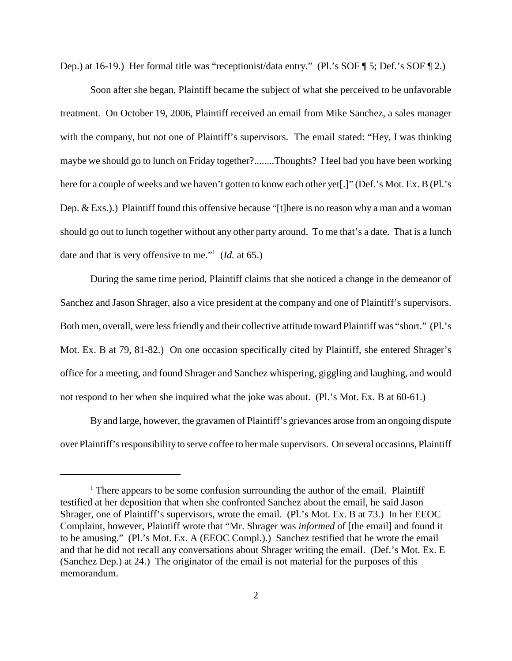Dep.) at 16-19.) Her formal title was "receptionist/data entry." (Pl.'s SOF ¶ 5; Def.'s SOF ¶ 2.)

Soon after she began, Plaintiff became the subject of what she perceived to be unfavorable treatment. On October 19, 2006, Plaintiff received an email from Mike Sanchez, a sales manager with the company, but not one of Plaintiff's supervisors. The email stated: "Hey, I was thinking maybe we should go to lunch on Friday together?........Thoughts? I feel bad you have been working here for a couple of weeks and we haven't gotten to know each other yet[.]" (Def.'s Mot. Ex. B (Pl.'s Dep. & Exs.).) Plaintiff found this offensive because "[t]here is no reason why a man and a woman should go out to lunch together without any other party around. To me that's a date. That is a lunch date and that is very offensive to me."1 (*Id.* at 65.)

During the same time period, Plaintiff claims that she noticed a change in the demeanor of Sanchez and Jason Shrager, also a vice president at the company and one of Plaintiff's supervisors. Both men, overall, were less friendly and their collective attitude toward Plaintiff was "short." (Pl.'s Mot. Ex. B at 79, 81-82.) On one occasion specifically cited by Plaintiff, she entered Shrager's office for a meeting, and found Shrager and Sanchez whispering, giggling and laughing, and would not respond to her when she inquired what the joke was about. (Pl.'s Mot. Ex. B at 60-61.)

By and large, however, the gravamen of Plaintiff's grievances arose from an ongoing dispute over Plaintiff'sresponsibilityto serve coffee to her male supervisors. On several occasions, Plaintiff

<sup>&</sup>lt;sup>1</sup> There appears to be some confusion surrounding the author of the email. Plaintiff testified at her deposition that when she confronted Sanchez about the email, he said Jason Shrager, one of Plaintiff's supervisors, wrote the email. (Pl.'s Mot. Ex. B at 73.) In her EEOC Complaint, however, Plaintiff wrote that "Mr. Shrager was *informed* of [the email] and found it to be amusing." (Pl.'s Mot. Ex. A (EEOC Compl.).) Sanchez testified that he wrote the email and that he did not recall any conversations about Shrager writing the email. (Def.'s Mot. Ex. E (Sanchez Dep.) at 24.) The originator of the email is not material for the purposes of this memorandum.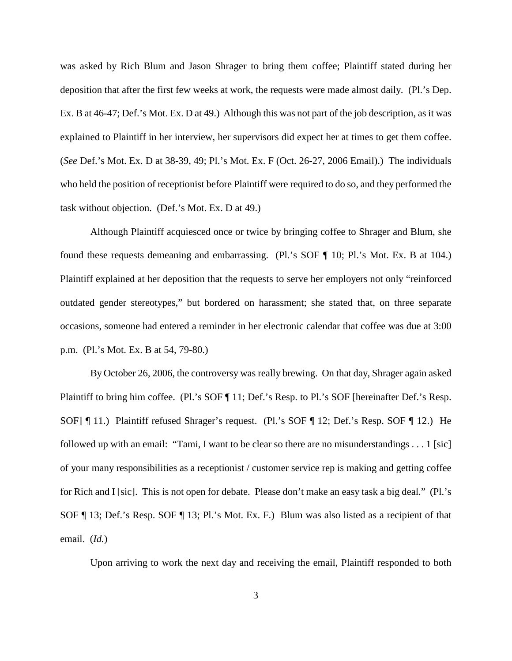was asked by Rich Blum and Jason Shrager to bring them coffee; Plaintiff stated during her deposition that after the first few weeks at work, the requests were made almost daily. (Pl.'s Dep. Ex. B at 46-47; Def.'s Mot. Ex. D at 49.) Although this was not part of the job description, as it was explained to Plaintiff in her interview, her supervisors did expect her at times to get them coffee. (*See* Def.'s Mot. Ex. D at 38-39, 49; Pl.'s Mot. Ex. F (Oct. 26-27, 2006 Email).) The individuals who held the position of receptionist before Plaintiff were required to do so, and they performed the task without objection. (Def.'s Mot. Ex. D at 49.)

Although Plaintiff acquiesced once or twice by bringing coffee to Shrager and Blum, she found these requests demeaning and embarrassing. (Pl.'s SOF ¶ 10; Pl.'s Mot. Ex. B at 104.) Plaintiff explained at her deposition that the requests to serve her employers not only "reinforced outdated gender stereotypes," but bordered on harassment; she stated that, on three separate occasions, someone had entered a reminder in her electronic calendar that coffee was due at 3:00 p.m. (Pl.'s Mot. Ex. B at 54, 79-80.)

By October 26, 2006, the controversy was really brewing. On that day, Shrager again asked Plaintiff to bring him coffee. (Pl.'s SOF ¶ 11; Def.'s Resp. to Pl.'s SOF [hereinafter Def.'s Resp. SOF] ¶ 11.) Plaintiff refused Shrager's request. (Pl.'s SOF ¶ 12; Def.'s Resp. SOF ¶ 12.) He followed up with an email: "Tami, I want to be clear so there are no misunderstandings . . . 1 [sic] of your many responsibilities as a receptionist / customer service rep is making and getting coffee for Rich and I [sic]. This is not open for debate. Please don't make an easy task a big deal." (Pl.'s SOF ¶ 13; Def.'s Resp. SOF ¶ 13; Pl.'s Mot. Ex. F.) Blum was also listed as a recipient of that email. (*Id.*)

Upon arriving to work the next day and receiving the email, Plaintiff responded to both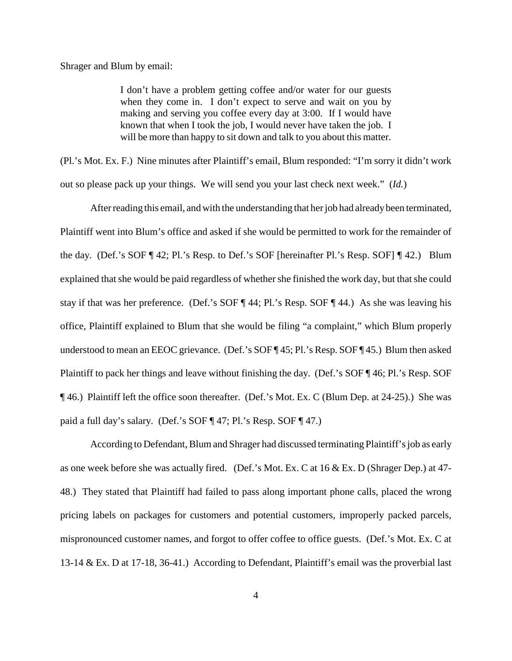Shrager and Blum by email:

I don't have a problem getting coffee and/or water for our guests when they come in. I don't expect to serve and wait on you by making and serving you coffee every day at 3:00. If I would have known that when I took the job, I would never have taken the job. I will be more than happy to sit down and talk to you about this matter.

(Pl.'s Mot. Ex. F.) Nine minutes after Plaintiff's email, Blum responded: "I'm sorry it didn't work out so please pack up your things. We will send you your last check next week." (*Id.*)

After reading this email, and with the understanding that her job had already been terminated, Plaintiff went into Blum's office and asked if she would be permitted to work for the remainder of the day. (Def.'s SOF ¶ 42; Pl.'s Resp. to Def.'s SOF [hereinafter Pl.'s Resp. SOF] ¶ 42.) Blum explained that she would be paid regardless of whether she finished the work day, but that she could stay if that was her preference. (Def.'s SOF ¶ 44; Pl.'s Resp. SOF ¶ 44.) As she was leaving his office, Plaintiff explained to Blum that she would be filing "a complaint," which Blum properly understood to mean an EEOC grievance. (Def.'s SOF ¶ 45; Pl.'s Resp. SOF ¶ 45.) Blum then asked Plaintiff to pack her things and leave without finishing the day. (Def.'s SOF ¶ 46; Pl.'s Resp. SOF ¶ 46.) Plaintiff left the office soon thereafter. (Def.'s Mot. Ex. C (Blum Dep. at 24-25).) She was paid a full day's salary. (Def.'s SOF ¶ 47; Pl.'s Resp. SOF ¶ 47.)

According to Defendant, Blum and Shrager had discussed terminating Plaintiff's job as early as one week before she was actually fired. (Def.'s Mot. Ex. C at 16 & Ex. D (Shrager Dep.) at 47- 48.) They stated that Plaintiff had failed to pass along important phone calls, placed the wrong pricing labels on packages for customers and potential customers, improperly packed parcels, mispronounced customer names, and forgot to offer coffee to office guests. (Def.'s Mot. Ex. C at 13-14 & Ex. D at 17-18, 36-41.) According to Defendant, Plaintiff's email was the proverbial last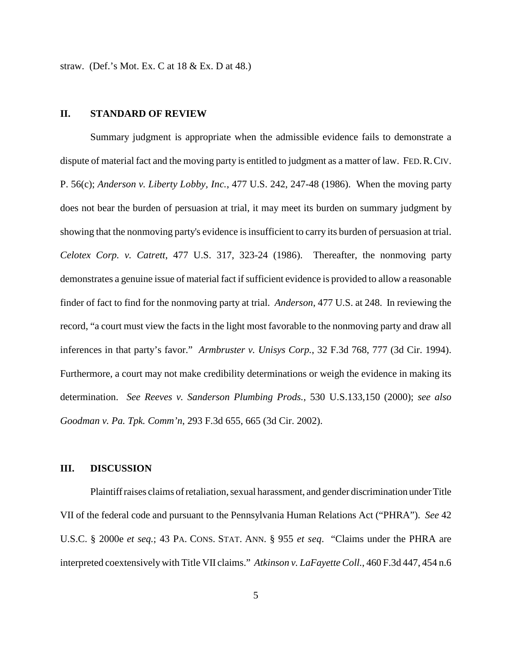straw. (Def.'s Mot. Ex. C at 18 & Ex. D at 48.)

#### **II. STANDARD OF REVIEW**

Summary judgment is appropriate when the admissible evidence fails to demonstrate a dispute of material fact and the moving party is entitled to judgment as a matter of law. FED.R.CIV. P. 56(c); *Anderson v. Liberty Lobby, Inc.*, 477 U.S. 242, 247-48 (1986). When the moving party does not bear the burden of persuasion at trial, it may meet its burden on summary judgment by showing that the nonmoving party's evidence is insufficient to carry its burden of persuasion at trial. *Celotex Corp. v. Catrett*, 477 U.S. 317, 323-24 (1986). Thereafter, the nonmoving party demonstrates a genuine issue of material fact if sufficient evidence is provided to allow a reasonable finder of fact to find for the nonmoving party at trial. *Anderson*, 477 U.S. at 248. In reviewing the record, "a court must view the facts in the light most favorable to the nonmoving party and draw all inferences in that party's favor." *Armbruster v. Unisys Corp.*, 32 F.3d 768, 777 (3d Cir. 1994). Furthermore, a court may not make credibility determinations or weigh the evidence in making its determination. *See Reeves v. Sanderson Plumbing Prods.*, 530 U.S.133,150 (2000); *see also Goodman v. Pa. Tpk. Comm'n*, 293 F.3d 655, 665 (3d Cir. 2002).

# **III. DISCUSSION**

Plaintiff raises claims of retaliation, sexual harassment, and gender discrimination under Title VII of the federal code and pursuant to the Pennsylvania Human Relations Act ("PHRA"). *See* 42 U.S.C. § 2000e *et seq.*; 43 PA. CONS. STAT. ANN. § 955 *et seq*. "Claims under the PHRA are interpreted coextensivelywith Title VII claims." *Atkinson v. LaFayette Coll.*, 460 F.3d 447, 454 n.6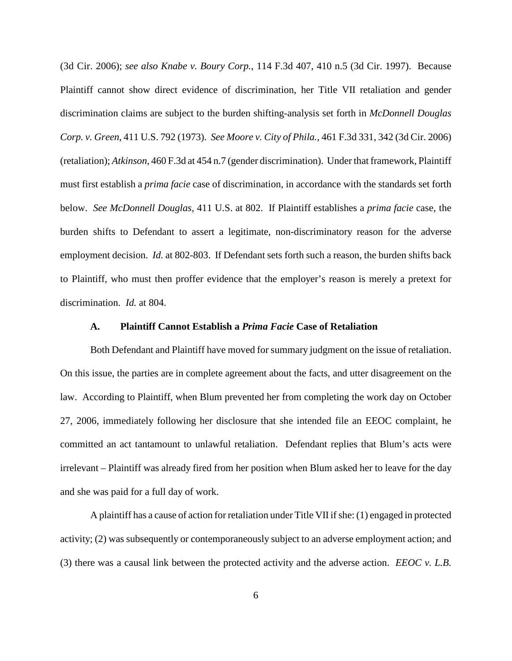(3d Cir. 2006); *see also Knabe v. Boury Corp.*, 114 F.3d 407, 410 n.5 (3d Cir. 1997). Because Plaintiff cannot show direct evidence of discrimination, her Title VII retaliation and gender discrimination claims are subject to the burden shifting-analysis set forth in *McDonnell Douglas Corp. v. Green*, 411 U.S. 792 (1973). *See Moore v. City of Phila.*, 461 F.3d 331, 342 (3d Cir. 2006) (retaliation); *Atkinson*, 460 F.3d at 454 n.7 (gender discrimination). Under that framework, Plaintiff must first establish a *prima facie* case of discrimination, in accordance with the standards set forth below. *See McDonnell Douglas*, 411 U.S. at 802. If Plaintiff establishes a *prima facie* case, the burden shifts to Defendant to assert a legitimate, non-discriminatory reason for the adverse employment decision. *Id.* at 802-803. If Defendant sets forth such a reason, the burden shifts back to Plaintiff, who must then proffer evidence that the employer's reason is merely a pretext for discrimination. *Id.* at 804.

# **A. Plaintiff Cannot Establish a** *Prima Facie* **Case of Retaliation**

Both Defendant and Plaintiff have moved for summary judgment on the issue of retaliation. On this issue, the parties are in complete agreement about the facts, and utter disagreement on the law. According to Plaintiff, when Blum prevented her from completing the work day on October 27, 2006, immediately following her disclosure that she intended file an EEOC complaint, he committed an act tantamount to unlawful retaliation. Defendant replies that Blum's acts were irrelevant – Plaintiff was already fired from her position when Blum asked her to leave for the day and she was paid for a full day of work.

A plaintiff has a cause of action for retaliation under Title VII if she: (1) engaged in protected activity; (2) was subsequently or contemporaneously subject to an adverse employment action; and (3) there was a causal link between the protected activity and the adverse action. *EEOC v. L.B.*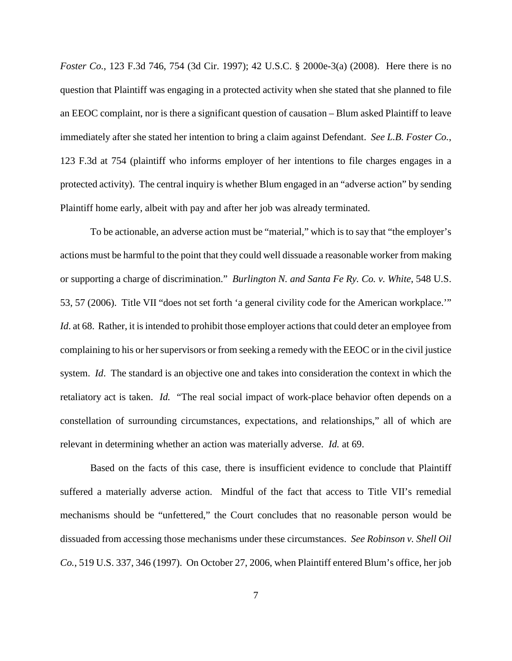*Foster Co.*, 123 F.3d 746, 754 (3d Cir. 1997); 42 U.S.C. § 2000e-3(a) (2008). Here there is no question that Plaintiff was engaging in a protected activity when she stated that she planned to file an EEOC complaint, nor is there a significant question of causation – Blum asked Plaintiff to leave immediately after she stated her intention to bring a claim against Defendant. *See L.B. Foster Co.*, 123 F.3d at 754 (plaintiff who informs employer of her intentions to file charges engages in a protected activity). The central inquiry is whether Blum engaged in an "adverse action" by sending Plaintiff home early, albeit with pay and after her job was already terminated.

To be actionable, an adverse action must be "material," which is to say that "the employer's actions must be harmful to the point that they could well dissuade a reasonable worker from making or supporting a charge of discrimination." *Burlington N. and Santa Fe Ry. Co. v. White*, 548 U.S. 53, 57 (2006). Title VII "does not set forth 'a general civility code for the American workplace.'" *Id.* at 68. Rather, it is intended to prohibit those employer actions that could deter an employee from complaining to his or hersupervisors or from seeking a remedy with the EEOC or in the civil justice system. *Id*. The standard is an objective one and takes into consideration the context in which the retaliatory act is taken. *Id.* "The real social impact of work-place behavior often depends on a constellation of surrounding circumstances, expectations, and relationships," all of which are relevant in determining whether an action was materially adverse. *Id.* at 69.

Based on the facts of this case, there is insufficient evidence to conclude that Plaintiff suffered a materially adverse action. Mindful of the fact that access to Title VII's remedial mechanisms should be "unfettered," the Court concludes that no reasonable person would be dissuaded from accessing those mechanisms under these circumstances. *See Robinson v. Shell Oil Co.*, 519 U.S. 337, 346 (1997). On October 27, 2006, when Plaintiff entered Blum's office, her job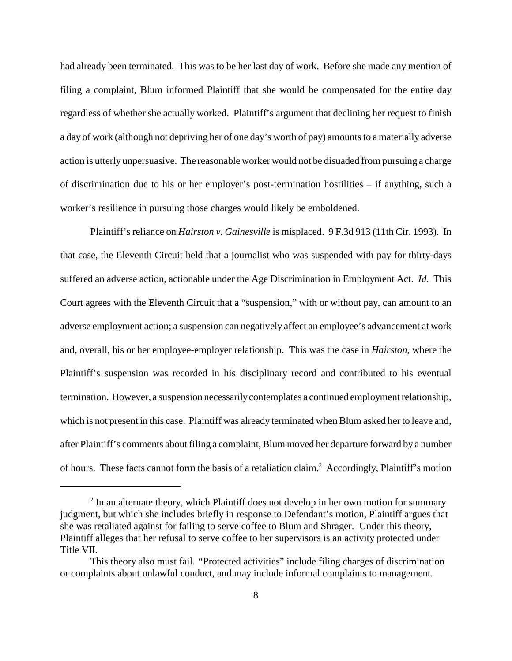had already been terminated. This was to be her last day of work. Before she made any mention of filing a complaint, Blum informed Plaintiff that she would be compensated for the entire day regardless of whether she actually worked. Plaintiff's argument that declining her request to finish a day of work (although not depriving her of one day's worth of pay) amounts to a materially adverse action is utterly unpersuasive. The reasonable worker would not be disuaded from pursuing a charge of discrimination due to his or her employer's post-termination hostilities – if anything, such a worker's resilience in pursuing those charges would likely be emboldened.

Plaintiff's reliance on *Hairston v. Gainesville* is misplaced. 9 F.3d 913 (11th Cir. 1993). In that case, the Eleventh Circuit held that a journalist who was suspended with pay for thirty-days suffered an adverse action, actionable under the Age Discrimination in Employment Act. *Id.* This Court agrees with the Eleventh Circuit that a "suspension," with or without pay, can amount to an adverse employment action; a suspension can negatively affect an employee's advancement at work and, overall, his or her employee-employer relationship. This was the case in *Hairston*, where the Plaintiff's suspension was recorded in his disciplinary record and contributed to his eventual termination. However, a suspension necessarilycontemplates a continued employmentrelationship, which is not present in this case. Plaintiff was already terminated when Blum asked her to leave and, after Plaintiff's comments about filing a complaint, Blum moved her departure forward by a number of hours. These facts cannot form the basis of a retaliation claim. <sup>2</sup> Accordingly, Plaintiff's motion

 $2 \text{ In an alternate theory, which Plaintiff does not develop in her own motion for summary}$ judgment, but which she includes briefly in response to Defendant's motion, Plaintiff argues that she was retaliated against for failing to serve coffee to Blum and Shrager. Under this theory, Plaintiff alleges that her refusal to serve coffee to her supervisors is an activity protected under Title VII.

This theory also must fail. *"*Protected activities" include filing charges of discrimination or complaints about unlawful conduct, and may include informal complaints to management.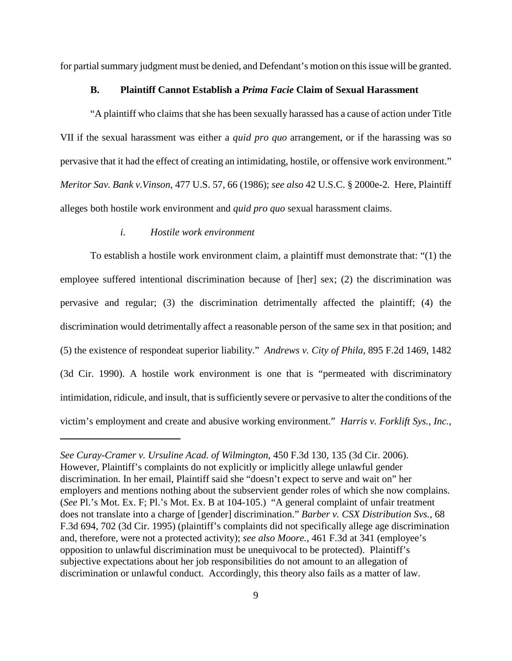for partial summary judgment must be denied, and Defendant's motion on this issue will be granted.

### **B. Plaintiff Cannot Establish a** *Prima Facie* **Claim of Sexual Harassment**

"A plaintiff who claims that she has been sexually harassed has a cause of action under Title VII if the sexual harassment was either a *quid pro quo* arrangement, or if the harassing was so pervasive that it had the effect of creating an intimidating, hostile, or offensive work environment." *Meritor Sav. Bank v.Vinson*, 477 U.S. 57, 66 (1986); *see also* 42 U.S.C. § 2000e-2*.* Here, Plaintiff alleges both hostile work environment and *quid pro quo* sexual harassment claims.

#### *i. Hostile work environment*

To establish a hostile work environment claim, a plaintiff must demonstrate that: "(1) the employee suffered intentional discrimination because of [her] sex; (2) the discrimination was pervasive and regular; (3) the discrimination detrimentally affected the plaintiff; (4) the discrimination would detrimentally affect a reasonable person of the same sex in that position; and (5) the existence of respondeat superior liability." *Andrews v. City of Phila*, 895 F.2d 1469, 1482 (3d Cir. 1990). A hostile work environment is one that is "permeated with discriminatory intimidation, ridicule, and insult, that is sufficiently severe or pervasive to alter the conditions of the victim's employment and create and abusive working environment." *Harris v. Forklift Sys., Inc.*,

*See Curay-Cramer v. Ursuline Acad. of Wilmington*, 450 F.3d 130*,* 135 (3d Cir. 2006). However, Plaintiff's complaints do not explicitly or implicitly allege unlawful gender discrimination. In her email, Plaintiff said she "doesn't expect to serve and wait on" her employers and mentions nothing about the subservient gender roles of which she now complains. (*See* Pl.'s Mot. Ex. F; Pl.'s Mot. Ex. B at 104-105.) "A general complaint of unfair treatment does not translate into a charge of [gender] discrimination." *Barber v. CSX Distribution Svs.*, 68 F.3d 694, 702 (3d Cir. 1995) (plaintiff's complaints did not specifically allege age discrimination and, therefore, were not a protected activity); *see also Moore.*, 461 F.3d at 341 (employee's opposition to unlawful discrimination must be unequivocal to be protected). Plaintiff's subjective expectations about her job responsibilities do not amount to an allegation of discrimination or unlawful conduct. Accordingly, this theory also fails as a matter of law.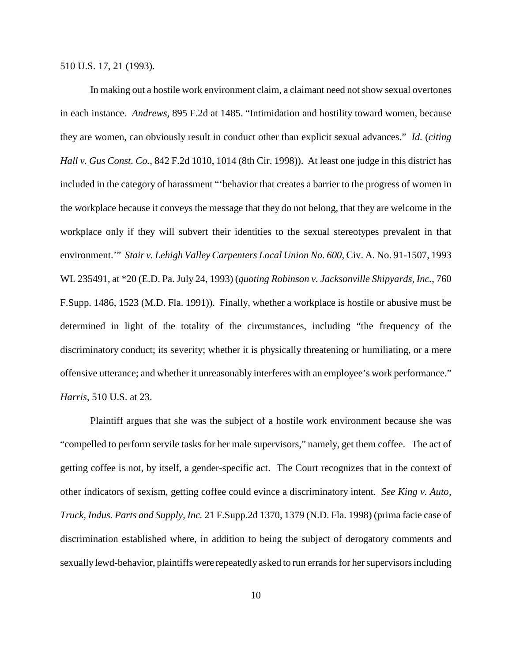510 U.S. 17, 21 (1993).

In making out a hostile work environment claim, a claimant need notshow sexual overtones in each instance. *Andrews*, 895 F.2d at 1485. "Intimidation and hostility toward women, because they are women, can obviously result in conduct other than explicit sexual advances." *Id.* (*citing Hall v. Gus Const. Co.*, 842 F.2d 1010, 1014 (8th Cir. 1998)). At least one judge in this district has included in the category of harassment "'behavior that creates a barrier to the progress of women in the workplace because it conveys the message that they do not belong, that they are welcome in the workplace only if they will subvert their identities to the sexual stereotypes prevalent in that environment.'" *Stair v. Lehigh Valley Carpenters Local Union No. 600*, Civ. A. No. 91-1507, 1993 WL 235491, at \*20 (E.D. Pa. July 24, 1993) (*quoting Robinson v. Jacksonville Shipyards, Inc.*, 760 F.Supp. 1486, 1523 (M.D. Fla. 1991)). Finally, whether a workplace is hostile or abusive must be determined in light of the totality of the circumstances, including "the frequency of the discriminatory conduct; its severity; whether it is physically threatening or humiliating, or a mere offensive utterance; and whether it unreasonably interferes with an employee's work performance." *Harris*, 510 U.S. at 23.

Plaintiff argues that she was the subject of a hostile work environment because she was "compelled to perform servile tasks for her male supervisors," namely, get them coffee. The act of getting coffee is not, by itself, a gender-specific act. The Court recognizes that in the context of other indicators of sexism, getting coffee could evince a discriminatory intent. *See King v. Auto, Truck, Indus. Parts and Supply, Inc.* 21 F.Supp.2d 1370, 1379 (N.D. Fla. 1998) (prima facie case of discrimination established where, in addition to being the subject of derogatory comments and sexually lewd-behavior, plaintiffs were repeatedly asked to run errands for her supervisors including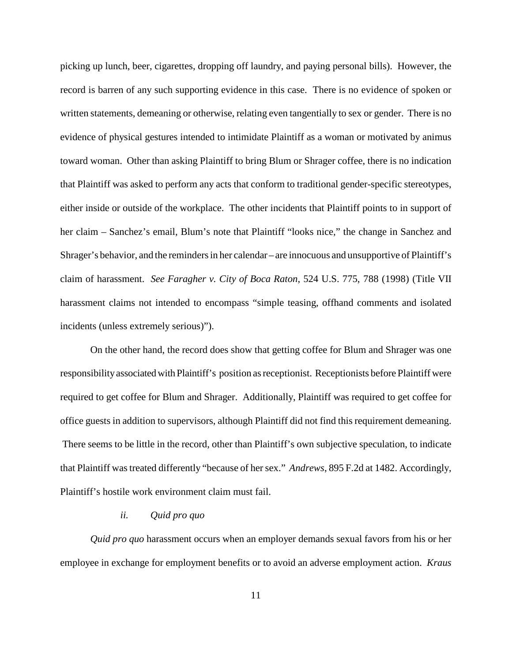picking up lunch, beer, cigarettes, dropping off laundry, and paying personal bills). However, the record is barren of any such supporting evidence in this case. There is no evidence of spoken or written statements, demeaning or otherwise, relating even tangentially to sex or gender. There is no evidence of physical gestures intended to intimidate Plaintiff as a woman or motivated by animus toward woman. Other than asking Plaintiff to bring Blum or Shrager coffee, there is no indication that Plaintiff was asked to perform any acts that conform to traditional gender-specific stereotypes, either inside or outside of the workplace. The other incidents that Plaintiff points to in support of her claim – Sanchez's email, Blum's note that Plaintiff "looks nice," the change in Sanchez and Shrager's behavior, and the remindersin her calendar – are innocuous and unsupportive of Plaintiff's claim of harassment. *See Faragher v. City of Boca Raton*, 524 U.S. 775, 788 (1998) (Title VII harassment claims not intended to encompass "simple teasing, offhand comments and isolated incidents (unless extremely serious)").

On the other hand, the record does show that getting coffee for Blum and Shrager was one responsibilityassociatedwith Plaintiff's position asreceptionist. Receptionists before Plaintiff were required to get coffee for Blum and Shrager. Additionally, Plaintiff was required to get coffee for office guests in addition to supervisors, although Plaintiff did not find this requirement demeaning. There seems to be little in the record, other than Plaintiff's own subjective speculation, to indicate that Plaintiff was treated differently "because of her sex." *Andrews*, 895 F.2d at 1482. Accordingly, Plaintiff's hostile work environment claim must fail.

## *ii. Quid pro quo*

*Quid pro quo* harassment occurs when an employer demands sexual favors from his or her employee in exchange for employment benefits or to avoid an adverse employment action. *Kraus*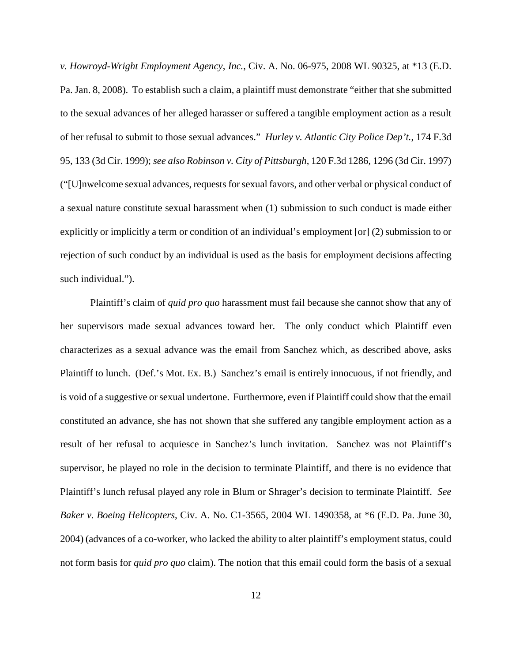*v. Howroyd-Wright Employment Agency*, *Inc.*, Civ. A. No. 06-975, 2008 WL 90325, at \*13 (E.D. Pa. Jan. 8, 2008). To establish such a claim, a plaintiff must demonstrate "either that she submitted to the sexual advances of her alleged harasser or suffered a tangible employment action as a result of her refusal to submit to those sexual advances." *Hurley v. Atlantic City Police Dep't.*, 174 F.3d 95, 133 (3d Cir. 1999); *see also Robinson v. City of Pittsburgh*, 120 F.3d 1286, 1296 (3d Cir. 1997) ("[U]nwelcome sexual advances, requestsforsexual favors, and other verbal or physical conduct of a sexual nature constitute sexual harassment when (1) submission to such conduct is made either explicitly or implicitly a term or condition of an individual's employment [or] (2) submission to or rejection of such conduct by an individual is used as the basis for employment decisions affecting such individual.").

Plaintiff's claim of *quid pro quo* harassment must fail because she cannot show that any of her supervisors made sexual advances toward her. The only conduct which Plaintiff even characterizes as a sexual advance was the email from Sanchez which, as described above, asks Plaintiff to lunch. (Def.'s Mot. Ex. B.) Sanchez's email is entirely innocuous, if not friendly, and is void of a suggestive or sexual undertone. Furthermore, even if Plaintiff could show that the email constituted an advance, she has not shown that she suffered any tangible employment action as a result of her refusal to acquiesce in Sanchez's lunch invitation. Sanchez was not Plaintiff's supervisor, he played no role in the decision to terminate Plaintiff, and there is no evidence that Plaintiff's lunch refusal played any role in Blum or Shrager's decision to terminate Plaintiff. *See Baker v. Boeing Helicopters*, Civ. A. No. C1-3565, 2004 WL 1490358, at \*6 (E.D. Pa. June 30, 2004) (advances of a co-worker, who lacked the ability to alter plaintiff's employment status, could not form basis for *quid pro quo* claim). The notion that this email could form the basis of a sexual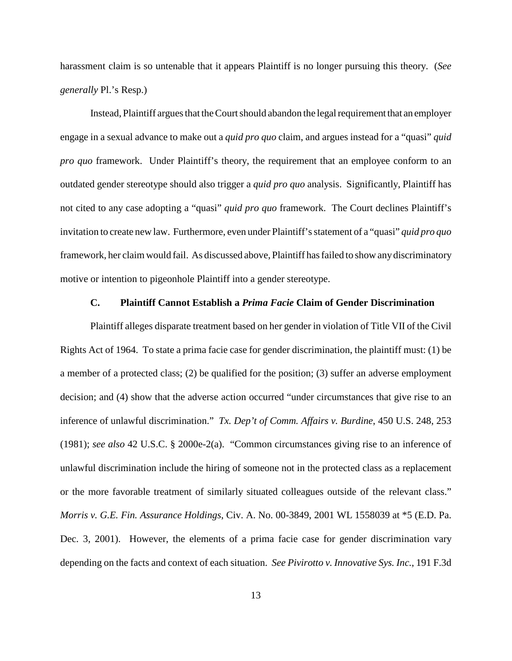harassment claim is so untenable that it appears Plaintiff is no longer pursuing this theory. (*See generally* Pl.'s Resp.)

Instead, Plaintiff argues that the Court should abandon the legal requirement that an employer engage in a sexual advance to make out a *quid pro quo* claim, and argues instead for a "quasi" *quid pro quo* framework. Under Plaintiff's theory, the requirement that an employee conform to an outdated gender stereotype should also trigger a *quid pro quo* analysis. Significantly, Plaintiff has not cited to any case adopting a "quasi" *quid pro quo* framework. The Court declines Plaintiff's invitation to create new law. Furthermore, even under Plaintiff'sstatement of a "quasi" *quid pro quo* framework, her claimwould fail. As discussed above, Plaintiff hasfailed to show anydiscriminatory motive or intention to pigeonhole Plaintiff into a gender stereotype.

# **C. Plaintiff Cannot Establish a** *Prima Facie* **Claim of Gender Discrimination**

Plaintiff alleges disparate treatment based on her gender in violation of Title VII of the Civil Rights Act of 1964. To state a prima facie case for gender discrimination, the plaintiff must: (1) be a member of a protected class; (2) be qualified for the position; (3) suffer an adverse employment decision; and (4) show that the adverse action occurred "under circumstances that give rise to an inference of unlawful discrimination." *Tx. Dep't of Comm. Affairs v. Burdine*, 450 U.S. 248, 253 (1981); *see also* 42 U.S.C. § 2000e-2(a). "Common circumstances giving rise to an inference of unlawful discrimination include the hiring of someone not in the protected class as a replacement or the more favorable treatment of similarly situated colleagues outside of the relevant class." *Morris v. G.E. Fin. Assurance Holdings*, Civ. A. No. 00-3849, 2001 WL 1558039 at \*5 (E.D. Pa. Dec. 3, 2001). However, the elements of a prima facie case for gender discrimination vary depending on the facts and context of each situation. *See Pivirotto v. Innovative Sys. Inc.*, 191 F.3d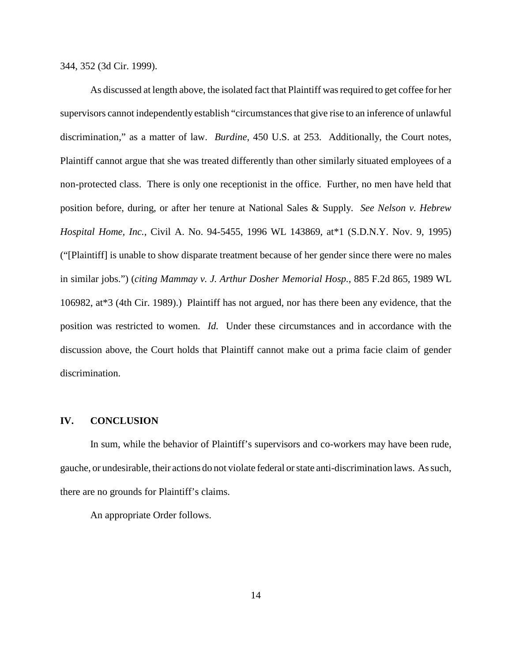344, 352 (3d Cir. 1999).

As discussed at length above, the isolated fact that Plaintiff wasrequired to get coffee for her supervisors cannot independently establish "circumstancesthat give rise to an inference of unlawful discrimination," as a matter of law. *Burdine*, 450 U.S. at 253. Additionally, the Court notes, Plaintiff cannot argue that she was treated differently than other similarly situated employees of a non-protected class. There is only one receptionist in the office. Further, no men have held that position before, during, or after her tenure at National Sales & Supply. *See Nelson v. Hebrew Hospital Home, Inc.*, Civil A. No. 94-5455, 1996 WL 143869, at\*1 (S.D.N.Y. Nov. 9, 1995) ("[Plaintiff] is unable to show disparate treatment because of her gender since there were no males in similar jobs.") (*citing Mammay v. J. Arthur Dosher Memorial Hosp.*, 885 F.2d 865, 1989 WL 106982, at\*3 (4th Cir. 1989).) Plaintiff has not argued, nor has there been any evidence, that the position was restricted to women. *Id.* Under these circumstances and in accordance with the discussion above, the Court holds that Plaintiff cannot make out a prima facie claim of gender discrimination.

#### **IV. CONCLUSION**

In sum, while the behavior of Plaintiff's supervisors and co-workers may have been rude, gauche, or undesirable, their actions do not violate federal orstate anti-discrimination laws. Assuch, there are no grounds for Plaintiff's claims.

An appropriate Order follows.